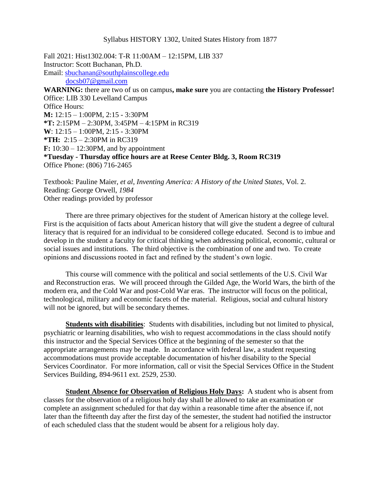#### Syllabus HISTORY 1302, United States History from 1877

Fall 2021: Hist1302.004: T-R 11:00AM – 12:15PM, LIB 337 Instructor: Scott Buchanan, Ph.D. Email: [sbuchanan@southplainscollege.edu](mailto:sbuchanan@southplainscollege.edu) [docsb07@gmail.com](mailto:docsb07@gmail.com) **WARNING:** there are two of us on campus**, make sure** you are contacting **the History Professor!** Office: LIB 330 Levelland Campus Office Hours: **M:** 12:15 – 1:00PM, 2:15 - 3:30PM **\*T:** 2:15PM – 2:30PM, 3:45PM – 4:15PM in RC319 **W**: 12:15 – 1:00PM, 2:15 - 3:30PM **\*TH:** 2:15 – 2:30PM in RC319 **F:** 10:30 – 12:30PM, and by appointment **\*Tuesday - Thursday office hours are at Reese Center Bldg. 3, Room RC319** Office Phone: (806) 716-2465

Textbook: Pauline Maier, *et al*, *Inventing America: A History of the United States*, Vol. 2. Reading: George Orwell, *1984* Other readings provided by professor

There are three primary objectives for the student of American history at the college level. First is the acquisition of facts about American history that will give the student a degree of cultural literacy that is required for an individual to be considered college educated. Second is to imbue and develop in the student a faculty for critical thinking when addressing political, economic, cultural or social issues and institutions. The third objective is the combination of one and two. To create opinions and discussions rooted in fact and refined by the student's own logic.

This course will commence with the political and social settlements of the U.S. Civil War and Reconstruction eras. We will proceed through the Gilded Age, the World Wars, the birth of the modern era, and the Cold War and post-Cold War eras. The instructor will focus on the political, technological, military and economic facets of the material. Religious, social and cultural history will not be ignored, but will be secondary themes.

**Students with disabilities**: Students with disabilities, including but not limited to physical, psychiatric or learning disabilities, who wish to request accommodations in the class should notify this instructor and the Special Services Office at the beginning of the semester so that the appropriate arrangements may be made. In accordance with federal law, a student requesting accommodations must provide acceptable documentation of his/her disability to the Special Services Coordinator. For more information, call or visit the Special Services Office in the Student Services Building, 894-9611 ext. 2529, 2530.

**Student Absence for Observation of Religious Holy Days:** A student who is absent from classes for the observation of a religious holy day shall be allowed to take an examination or complete an assignment scheduled for that day within a reasonable time after the absence if, not later than the fifteenth day after the first day of the semester, the student had notified the instructor of each scheduled class that the student would be absent for a religious holy day.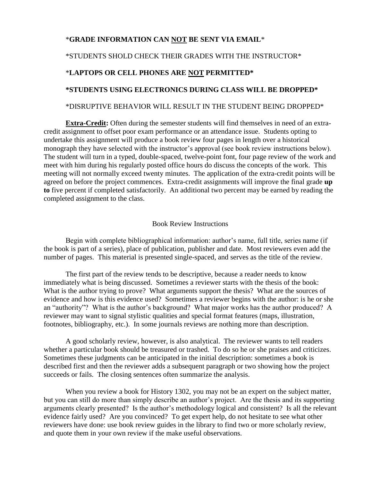# \***GRADE INFORMATION CAN NOT BE SENT VIA EMAIL**\*

## \*STUDENTS SHOLD CHECK THEIR GRADES WITH THE INSTRUCTOR\*

### \***LAPTOPS OR CELL PHONES ARE NOT PERMITTED\***

# **\*STUDENTS USING ELECTRONICS DURING CLASS WILL BE DROPPED\***

### \*DISRUPTIVE BEHAVIOR WILL RESULT IN THE STUDENT BEING DROPPED\*

**Extra-Credit:** Often during the semester students will find themselves in need of an extracredit assignment to offset poor exam performance or an attendance issue. Students opting to undertake this assignment will produce a book review four pages in length over a historical monograph they have selected with the instructor's approval (see book review instructions below). The student will turn in a typed, double-spaced, twelve-point font, four page review of the work and meet with him during his regularly posted office hours do discuss the concepts of the work. This meeting will not normally exceed twenty minutes. The application of the extra-credit points will be agreed on before the project commences. Extra-credit assignments will improve the final grade **up to** five percent if completed satisfactorily. An additional two percent may be earned by reading the completed assignment to the class.

#### Book Review Instructions

Begin with complete bibliographical information: author's name, full title, series name (if the book is part of a series), place of publication, publisher and date. Most reviewers even add the number of pages. This material is presented single-spaced, and serves as the title of the review.

The first part of the review tends to be descriptive, because a reader needs to know immediately what is being discussed. Sometimes a reviewer starts with the thesis of the book: What is the author trying to prove? What arguments support the thesis? What are the sources of evidence and how is this evidence used? Sometimes a reviewer begins with the author: is he or she an "authority"? What is the author's background? What major works has the author produced? A reviewer may want to signal stylistic qualities and special format features (maps, illustration, footnotes, bibliography, etc.). In some journals reviews are nothing more than description.

A good scholarly review, however, is also analytical. The reviewer wants to tell readers whether a particular book should be treasured or trashed. To do so he or she praises and criticizes. Sometimes these judgments can be anticipated in the initial description: sometimes a book is described first and then the reviewer adds a subsequent paragraph or two showing how the project succeeds or fails. The closing sentences often summarize the analysis.

When you review a book for History 1302, you may not be an expert on the subject matter, but you can still do more than simply describe an author's project. Are the thesis and its supporting arguments clearly presented? Is the author's methodology logical and consistent? Is all the relevant evidence fairly used? Are you convinced? To get expert help, do not hesitate to see what other reviewers have done: use book review guides in the library to find two or more scholarly review, and quote them in your own review if the make useful observations.